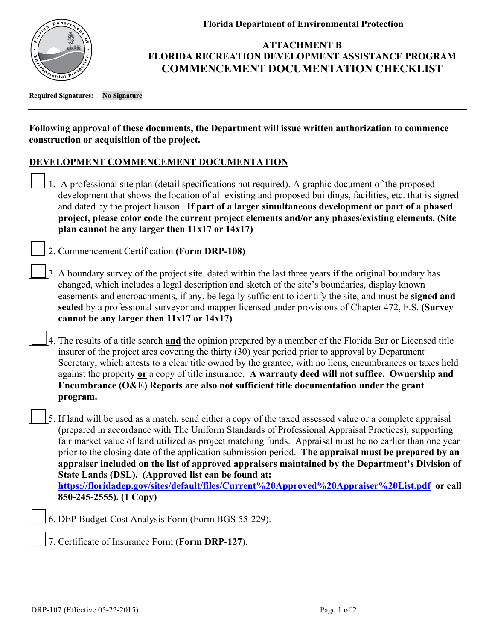

**Florida Department of Environmental Protection**

## **ATTACHMENT B FLORIDA RECREATION DEVELOPMENT ASSISTANCE PROGRAM COMMENCEMENT DOCUMENTATION CHECKLIST**

**Required Signatures: No Signature**

## **Following approval of these documents, the Department will issue written authorization to commence construction or acquisition of the project.**

## **DEVELOPMENT COMMENCEMENT DOCUMENTATION**

1. A professional site plan (detail specifications not required). A graphic document of the proposed development that shows the location of all existing and proposed buildings, facilities, etc. that is signed and dated by the project liaison. **If part of a larger simultaneous development or part of a phased project, please color code the current project elements and/or any phases/existing elements. (Site plan cannot be any larger then 11x17 or 14x17)** 

\_\_\_\_2. Commencement Certification **(Form DRP-108)** 

- 3. A boundary survey of the project site, dated within the last three years if the original boundary has changed, which includes a legal description and sketch of the site's boundaries, display known easements and encroachments, if any, be legally sufficient to identify the site, and must be **signed and sealed** by a professional surveyor and mapper licensed under provisions of Chapter 472, F.S. **(Survey cannot be any larger then 11x17 or 14x17)**
- \_\_\_\_4. The results of a title search **and** the opinion prepared by a member of the Florida Bar or Licensed title insurer of the project area covering the thirty (30) year period prior to approval by Department Secretary, which attests to a clear title owned by the grantee, with no liens, encumbrances or taxes held against the property **or** a copy of title insurance. **A warranty deed will not suffice. Ownership and Encumbrance (O&E) Reports are also not sufficient title documentation under the grant program.**
- 5. If land will be used as a match, send either a copy of the taxed assessed value or a complete appraisal (prepared in accordance with The Uniform Standards of Professional Appraisal Practices), supporting fair market value of land utilized as project matching funds. Appraisal must be no earlier than one year prior to the closing date of the application submission period. **The appraisal must be prepared by an appraiser included on the list of approved appraisers maintained by the Department's Division of State Lands (DSL). (Approved list can be found at:**

**<https://floridadep.gov/sites/default/files/Current%20Approved%20Appraiser%20List.pdf>or call 850-245-2555). (1 Copy)**

- \_\_\_\_6. DEP Budget-Cost Analysis Form (Form BGS 55-229).
- \_\_\_\_7. Certificate of Insurance Form (**Form DRP-127**).